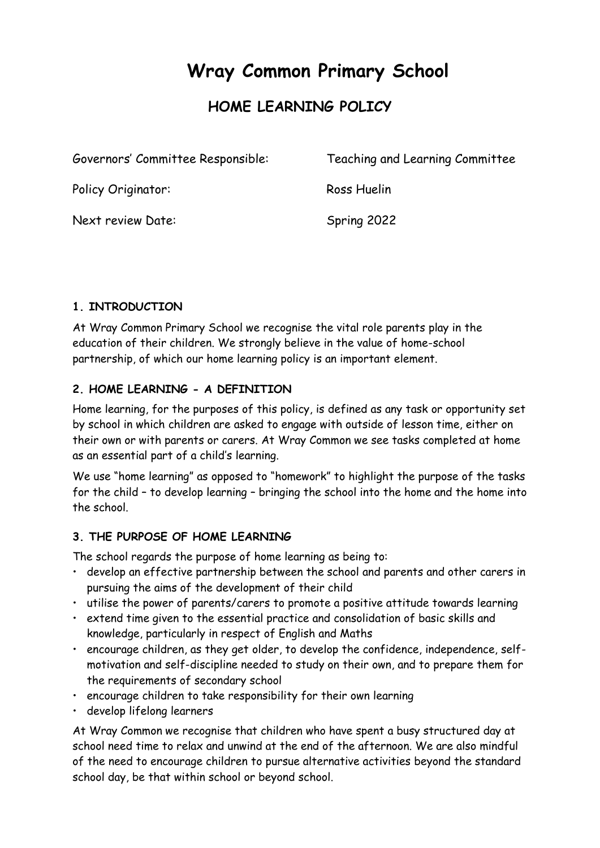# **Wray Common Primary School**

# **HOME LEARNING POLICY**

Governors' Committee Responsible: Teaching and Learning Committee Policy Originator: Ross Huelin Next review Date: Spring 2022

#### **1. INTRODUCTION**

At Wray Common Primary School we recognise the vital role parents play in the education of their children. We strongly believe in the value of home-school partnership, of which our home learning policy is an important element.

#### **2. HOME LEARNING - A DEFINITION**

Home learning, for the purposes of this policy, is defined as any task or opportunity set by school in which children are asked to engage with outside of lesson time, either on their own or with parents or carers. At Wray Common we see tasks completed at home as an essential part of a child's learning.

We use "home learning" as opposed to "homework" to highlight the purpose of the tasks for the child – to develop learning – bringing the school into the home and the home into the school.

#### **3. THE PURPOSE OF HOME LEARNING**

The school regards the purpose of home learning as being to:

- develop an effective partnership between the school and parents and other carers in pursuing the aims of the development of their child
- utilise the power of parents/carers to promote a positive attitude towards learning
- extend time given to the essential practice and consolidation of basic skills and knowledge, particularly in respect of English and Maths
- encourage children, as they get older, to develop the confidence, independence, selfmotivation and self-discipline needed to study on their own, and to prepare them for the requirements of secondary school
- encourage children to take responsibility for their own learning
- develop lifelong learners

At Wray Common we recognise that children who have spent a busy structured day at school need time to relax and unwind at the end of the afternoon. We are also mindful of the need to encourage children to pursue alternative activities beyond the standard school day, be that within school or beyond school.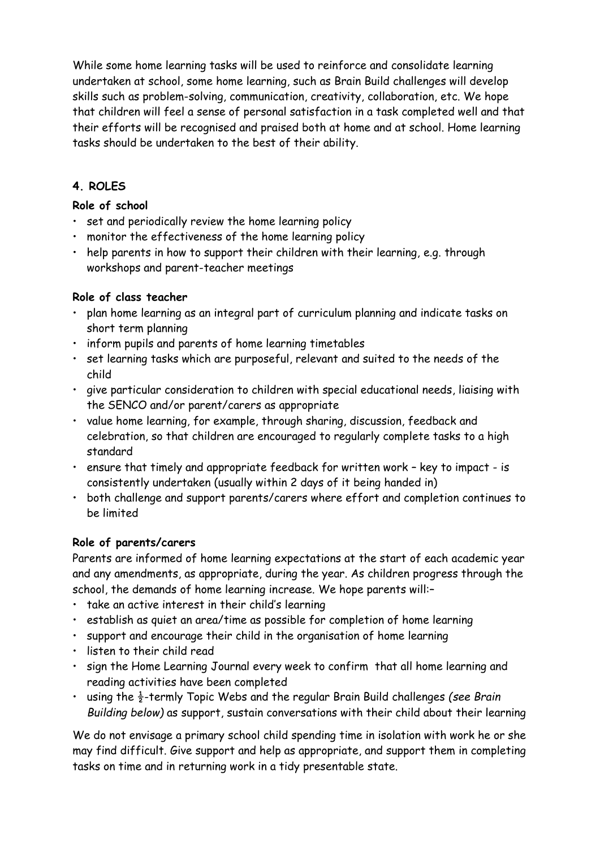While some home learning tasks will be used to reinforce and consolidate learning undertaken at school, some home learning, such as Brain Build challenges will develop skills such as problem-solving, communication, creativity, collaboration, etc. We hope that children will feel a sense of personal satisfaction in a task completed well and that their efforts will be recognised and praised both at home and at school. Home learning tasks should be undertaken to the best of their ability.

### **4. ROLES**

#### **Role of school**

- set and periodically review the home learning policy
- monitor the effectiveness of the home learning policy
- help parents in how to support their children with their learning, e.g. through workshops and parent-teacher meetings

#### **Role of class teacher**

- plan home learning as an integral part of curriculum planning and indicate tasks on short term planning
- inform pupils and parents of home learning timetables
- set learning tasks which are purposeful, relevant and suited to the needs of the child
- give particular consideration to children with special educational needs, liaising with the SENCO and/or parent/carers as appropriate
- value home learning, for example, through sharing, discussion, feedback and celebration, so that children are encouraged to regularly complete tasks to a high standard
- ensure that timely and appropriate feedback for written work key to impact is consistently undertaken (usually within 2 days of it being handed in)
- both challenge and support parents/carers where effort and completion continues to be limited

#### **Role of parents/carers**

Parents are informed of home learning expectations at the start of each academic year and any amendments, as appropriate, during the year. As children progress through the school, the demands of home learning increase. We hope parents will:–

- take an active interest in their child's learning
- establish as quiet an area/time as possible for completion of home learning
- support and encourage their child in the organisation of home learning
- listen to their child read
- sign the Home Learning Journal every week to confirm that all home learning and reading activities have been completed
- using the ½-termly Topic Webs and the regular Brain Build challenges *(see Brain Building below)* as support, sustain conversations with their child about their learning

We do not envisage a primary school child spending time in isolation with work he or she may find difficult. Give support and help as appropriate, and support them in completing tasks on time and in returning work in a tidy presentable state.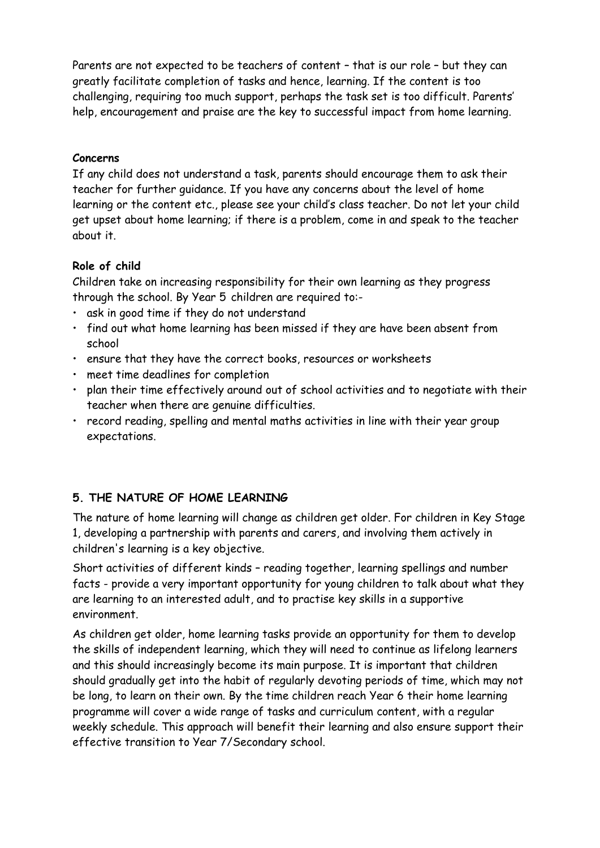Parents are not expected to be teachers of content – that is our role – but they can greatly facilitate completion of tasks and hence, learning. If the content is too challenging, requiring too much support, perhaps the task set is too difficult. Parents' help, encouragement and praise are the key to successful impact from home learning.

#### **Concerns**

If any child does not understand a task, parents should encourage them to ask their teacher for further guidance. If you have any concerns about the level of home learning or the content etc., please see your child's class teacher. Do not let your child get upset about home learning; if there is a problem, come in and speak to the teacher about it.

#### **Role of child**

Children take on increasing responsibility for their own learning as they progress through the school. By Year 5 children are required to:-

- ask in good time if they do not understand
- find out what home learning has been missed if they are have been absent from school
- ensure that they have the correct books, resources or worksheets
- meet time deadlines for completion
- plan their time effectively around out of school activities and to negotiate with their teacher when there are genuine difficulties.
- record reading, spelling and mental maths activities in line with their year group expectations.

#### **5. THE NATURE OF HOME LEARNING**

The nature of home learning will change as children get older. For children in Key Stage 1, developing a partnership with parents and carers, and involving them actively in children's learning is a key objective.

Short activities of different kinds – reading together, learning spellings and number facts - provide a very important opportunity for young children to talk about what they are learning to an interested adult, and to practise key skills in a supportive environment.

As children get older, home learning tasks provide an opportunity for them to develop the skills of independent learning, which they will need to continue as lifelong learners and this should increasingly become its main purpose. It is important that children should gradually get into the habit of regularly devoting periods of time, which may not be long, to learn on their own. By the time children reach Year 6 their home learning programme will cover a wide range of tasks and curriculum content, with a regular weekly schedule. This approach will benefit their learning and also ensure support their effective transition to Year 7/Secondary school.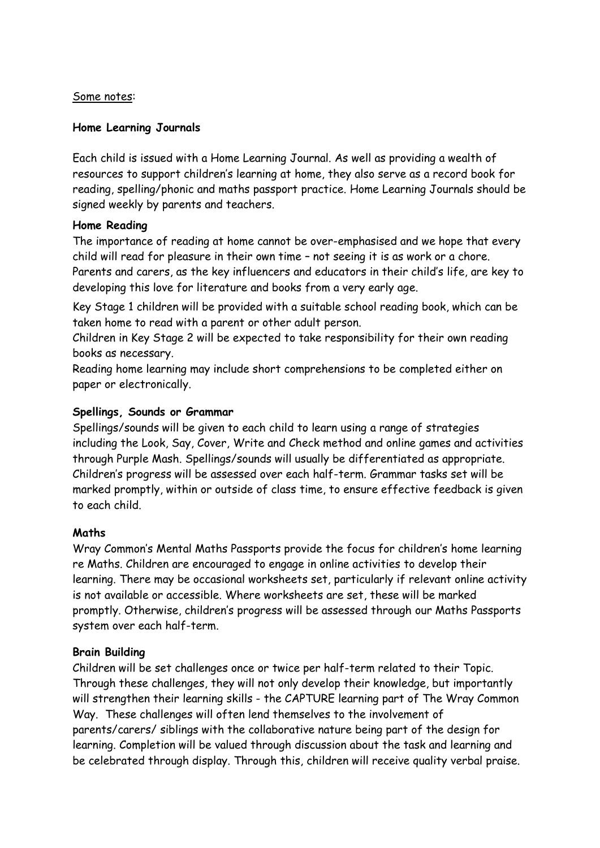#### Some notes:

#### **Home Learning Journals**

Each child is issued with a Home Learning Journal. As well as providing a wealth of resources to support children's learning at home, they also serve as a record book for reading, spelling/phonic and maths passport practice. Home Learning Journals should be signed weekly by parents and teachers.

#### **Home Reading**

The importance of reading at home cannot be over-emphasised and we hope that every child will read for pleasure in their own time – not seeing it is as work or a chore. Parents and carers, as the key influencers and educators in their child's life, are key to developing this love for literature and books from a very early age.

Key Stage 1 children will be provided with a suitable school reading book, which can be taken home to read with a parent or other adult person.

Children in Key Stage 2 will be expected to take responsibility for their own reading books as necessary.

Reading home learning may include short comprehensions to be completed either on paper or electronically.

#### **Spellings, Sounds or Grammar**

Spellings/sounds will be given to each child to learn using a range of strategies including the Look, Say, Cover, Write and Check method and online games and activities through Purple Mash. Spellings/sounds will usually be differentiated as appropriate. Children's progress will be assessed over each half-term. Grammar tasks set will be marked promptly, within or outside of class time, to ensure effective feedback is given to each child.

#### **Maths**

Wray Common's Mental Maths Passports provide the focus for children's home learning re Maths. Children are encouraged to engage in online activities to develop their learning. There may be occasional worksheets set, particularly if relevant online activity is not available or accessible. Where worksheets are set, these will be marked promptly. Otherwise, children's progress will be assessed through our Maths Passports system over each half-term.

#### **Brain Building**

Children will be set challenges once or twice per half-term related to their Topic. Through these challenges, they will not only develop their knowledge, but importantly will strengthen their learning skills - the CAPTURE learning part of The Wray Common Way. These challenges will often lend themselves to the involvement of parents/carers/ siblings with the collaborative nature being part of the design for learning. Completion will be valued through discussion about the task and learning and be celebrated through display. Through this, children will receive quality verbal praise.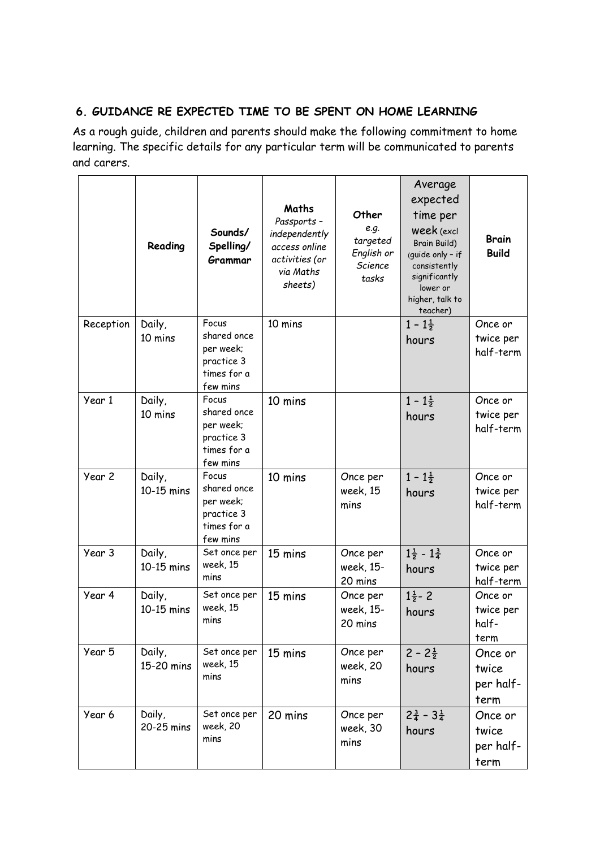## **6. GUIDANCE RE EXPECTED TIME TO BE SPENT ON HOME LEARNING**

As a rough guide, children and parents should make the following commitment to home learning. The specific details for any particular term will be communicated to parents and carers.

|           | Reading              | Sounds/<br>Spelling/<br>Grammar                                            | Maths<br>Passports -<br>independently<br>access online<br>activities (or<br>via Maths<br>sheets) | Other<br>e.g.<br>targeted<br>English or<br>Science<br>tasks | Average<br>expected<br>time per<br><b>week</b> (excl<br>Brain Build)<br>(guide only - if<br>consistently<br>significantly<br>lower or<br>higher, talk to<br>teacher) | <b>Brain</b><br><b>Build</b>          |
|-----------|----------------------|----------------------------------------------------------------------------|--------------------------------------------------------------------------------------------------|-------------------------------------------------------------|----------------------------------------------------------------------------------------------------------------------------------------------------------------------|---------------------------------------|
| Reception | Daily,<br>10 mins    | Focus<br>shared once<br>per week;<br>practice 3<br>times for a<br>few mins | 10 mins                                                                                          |                                                             | $1 - 1\frac{1}{2}$<br>hours                                                                                                                                          | Once or<br>twice per<br>half-term     |
| Year 1    | Daily,<br>10 mins    | Focus<br>shared once<br>per week;<br>practice 3<br>times for a<br>few mins | 10 mins                                                                                          |                                                             | $1 - 1\frac{1}{2}$<br>hours                                                                                                                                          | Once or<br>twice per<br>half-term     |
| Year 2    | Daily,<br>10-15 mins | Focus<br>shared once<br>per week;<br>practice 3<br>times for a<br>few mins | 10 mins                                                                                          | Once per<br>week, 15<br>mins                                | $1 - 1\frac{1}{2}$<br>hours                                                                                                                                          | Once or<br>twice per<br>half-term     |
| Year 3    | Daily,<br>10-15 mins | Set once per<br>week, 15<br>mins                                           | 15 mins                                                                                          | Once per<br>week, 15-<br>20 mins                            | $1\frac{1}{2} - 1\frac{3}{4}$<br>hours                                                                                                                               | Once or<br>twice per<br>half-term     |
| Year 4    | Daily,<br>10-15 mins | Set once per<br>week, 15<br>mins                                           | 15 mins                                                                                          | Once per<br>week, 15-<br>20 mins                            | $1\frac{1}{2}$ - 2<br>hours                                                                                                                                          | Once or<br>twice per<br>half-<br>term |
| Year 5    | Daily,<br>15-20 mins | Set once per<br>week, 15<br>mins                                           | 15 mins                                                                                          | Once per<br>week, 20<br>mins                                | $2 - 2\frac{1}{2}$<br>hours                                                                                                                                          | Once or<br>twice<br>per half-<br>term |
| Year 6    | Daily,<br>20-25 mins | Set once per<br>week, 20<br>mins                                           | 20 mins                                                                                          | Once per<br>week, 30<br>mins                                | $2\frac{3}{4} - 3\frac{1}{4}$<br>hours                                                                                                                               | Once or<br>twice<br>per half-<br>term |